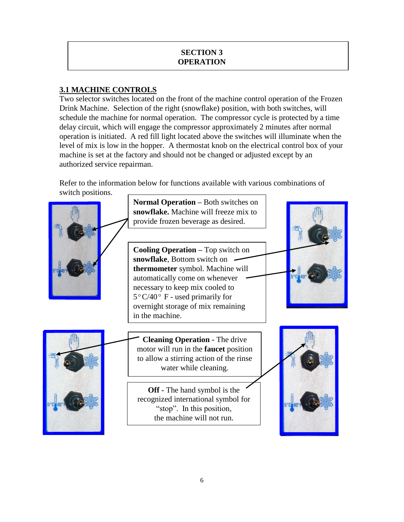## **SECTION 3 OPERATION**

# **3.1 MACHINE CONTROLS**

Two selector switches located on the front of the machine control operation of the Frozen Drink Machine. Selection of the right (snowflake) position, with both switches, will schedule the machine for normal operation. The compressor cycle is protected by a time delay circuit, which will engage the compressor approximately 2 minutes after normal operation is initiated. A red fill light located above the switches will illuminate when the level of mix is low in the hopper. A thermostat knob on the electrical control box of your machine is set at the factory and should not be changed or adjusted except by an authorized service repairman.

Refer to the information below for functions available with various combinations of switch positions.

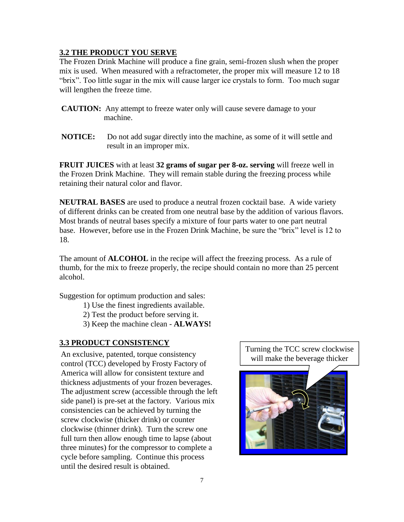### **3.2 THE PRODUCT YOU SERVE**

The Frozen Drink Machine will produce a fine grain, semi-frozen slush when the proper mix is used. When measured with a refractometer, the proper mix will measure 12 to 18 "brix". Too little sugar in the mix will cause larger ice crystals to form. Too much sugar will lengthen the freeze time.

- **CAUTION:** Any attempt to freeze water only will cause severe damage to your machine.
- **NOTICE:** Do not add sugar directly into the machine, as some of it will settle and result in an improper mix.

**FRUIT JUICES** with at least **32 grams of sugar per 8-oz. serving** will freeze well in the Frozen Drink Machine. They will remain stable during the freezing process while retaining their natural color and flavor.

**NEUTRAL BASES** are used to produce a neutral frozen cocktail base. A wide variety of different drinks can be created from one neutral base by the addition of various flavors. Most brands of neutral bases specify a mixture of four parts water to one part neutral base. However, before use in the Frozen Drink Machine, be sure the "brix" level is 12 to 18.

The amount of **ALCOHOL** in the recipe will affect the freezing process. As a rule of thumb, for the mix to freeze properly, the recipe should contain no more than 25 percent alcohol.

Suggestion for optimum production and sales:

- 1) Use the finest ingredients available.
- 2) Test the product before serving it.
- 3) Keep the machine clean **ALWAYS!**

#### **3.3 PRODUCT CONSISTENCY**

An exclusive, patented, torque consistency control (TCC) developed by Frosty Factory of America will allow for consistent texture and thickness adjustments of your frozen beverages. The adjustment screw (accessible through the left side panel) is pre-set at the factory. Various mix consistencies can be achieved by turning the screw clockwise (thicker drink) or counter clockwise (thinner drink). Turn the screw one full turn then allow enough time to lapse (about three minutes) for the compressor to complete a cycle before sampling. Continue this process until the desired result is obtained.

Turning the TCC screw clockwise will make the beverage thicker